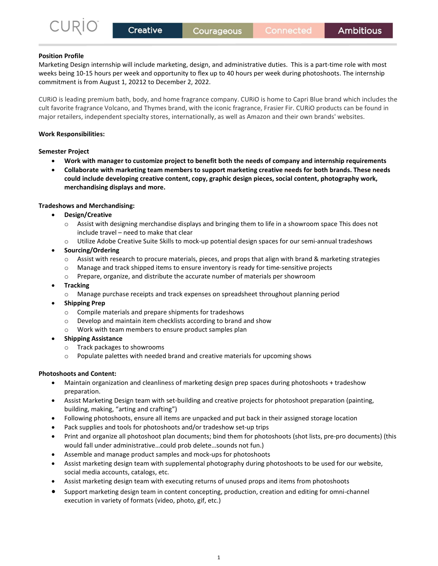# Position Profile

Marketing Design internship will include marketing, design, and administrative duties. This is a part-time role with most weeks being 10-15 hours per week and opportunity to flex up to 40 hours per week during photoshoots. The internship commitment is from August 1, 20212 to December 2, 2022.

CURiO is leading premium bath, body, and home fragrance company. CURiO is home to Capri Blue brand which includes the cult favorite fragrance Volcano, and Thymes brand, with the iconic fragrance, Frasier Fir. CURiO products can be found in major retailers, independent specialty stores, internationally, as well as Amazon and their own brands' websites.

## Work Responsibilities:

### Semester Project

- Work with manager to customize project to benefit both the needs of company and internship requirements
- Collaborate with marketing team members to support marketing creative needs for both brands. These needs could include developing creative content, copy, graphic design pieces, social content, photography work, merchandising displays and more.

# Tradeshows and Merchandising:

- Design/Creative
	- o Assist with designing merchandise displays and bringing them to life in a showroom space This does not include travel – need to make that clear
	- $\circ$  Utilize Adobe Creative Suite Skills to mock-up potential design spaces for our semi-annual tradeshows
- Sourcing/Ordering
	- o Assist with research to procure materials, pieces, and props that align with brand & marketing strategies
	- o Manage and track shipped items to ensure inventory is ready for time-sensitive projects
	- o Prepare, organize, and distribute the accurate number of materials per showroom
- **Tracking** 
	- o Manage purchase receipts and track expenses on spreadsheet throughout planning period
- Shipping Prep
	- o Compile materials and prepare shipments for tradeshows
	- o Develop and maintain item checklists according to brand and show
	- o Work with team members to ensure product samples plan
- Shipping Assistance
	- o Track packages to showrooms
	- o Populate palettes with needed brand and creative materials for upcoming shows

# Photoshoots and Content:

- Maintain organization and cleanliness of marketing design prep spaces during photoshoots + tradeshow preparation.
- Assist Marketing Design team with set-building and creative projects for photoshoot preparation (painting, building, making, "arting and crafting")
- Following photoshoots, ensure all items are unpacked and put back in their assigned storage location
- Pack supplies and tools for photoshoots and/or tradeshow set-up trips
- Print and organize all photoshoot plan documents; bind them for photoshoots (shot lists, pre-pro documents) (this would fall under administrative…could prob delete…sounds not fun.)
- Assemble and manage product samples and mock-ups for photoshoots
- Assist marketing design team with supplemental photography during photoshoots to be used for our website, social media accounts, catalogs, etc.
- Assist marketing design team with executing returns of unused props and items from photoshoots
- Support marketing design team in content concepting, production, creation and editing for omni-channel execution in variety of formats (video, photo, gif, etc.)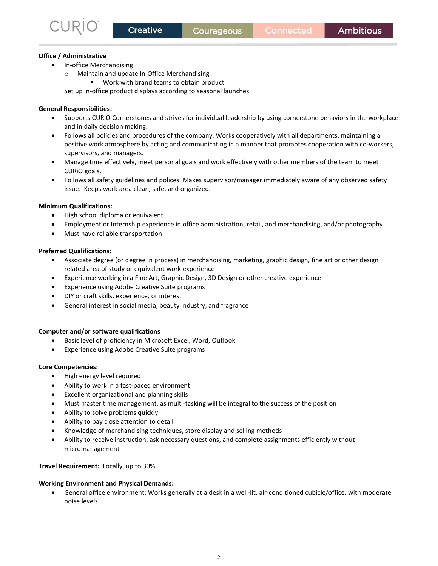### Office / Administrative

- In-office Merchandising
	- o Maintain and update In-Office Merchandising
		- Work with brand teams to obtain product

Set up in-office product displays according to seasonal launches

### General Responsibilities:

- Supports CURiO Cornerstones and strives for individual leadership by using cornerstone behaviors in the workplace and in daily decision making.
- Follows all policies and procedures of the company. Works cooperatively with all departments, maintaining a positive work atmosphere by acting and communicating in a manner that promotes cooperation with co-workers, supervisors, and managers.
- Manage time effectively, meet personal goals and work effectively with other members of the team to meet CURiO goals.
- Follows all safety guidelines and polices. Makes supervisor/manager immediately aware of any observed safety issue. Keeps work area clean, safe, and organized.

### Minimum Qualifications:

- High school diploma or equivalent
- Employment or Internship experience in office administration, retail, and merchandising, and/or photography
- Must have reliable transportation

### Preferred Qualifications:

- Associate degree (or degree in process) in merchandising, marketing, graphic design, fine art or other design related area of study or equivalent work experience
- Experience working in a Fine Art, Graphic Design, 3D Design or other creative experience
- Experience using Adobe Creative Suite programs
- DIY or craft skills, experience, or interest
- General interest in social media, beauty industry, and fragrance

### Computer and/or software qualifications

- Basic level of proficiency in Microsoft Excel, Word, Outlook
- Experience using Adobe Creative Suite programs

### Core Competencies:

- High energy level required
- Ability to work in a fast-paced environment
- Excellent organizational and planning skills
- Must master time management, as multi-tasking will be integral to the success of the position
- Ability to solve problems quickly
- Ability to pay close attention to detail
- Knowledge of merchandising techniques, store display and selling methods
- Ability to receive instruction, ask necessary questions, and complete assignments efficiently without micromanagement

### Travel Requirement: Locally, up to 30%

### Working Environment and Physical Demands:

 General office environment: Works generally at a desk in a well-lit, air-conditioned cubicle/office, with moderate noise levels.